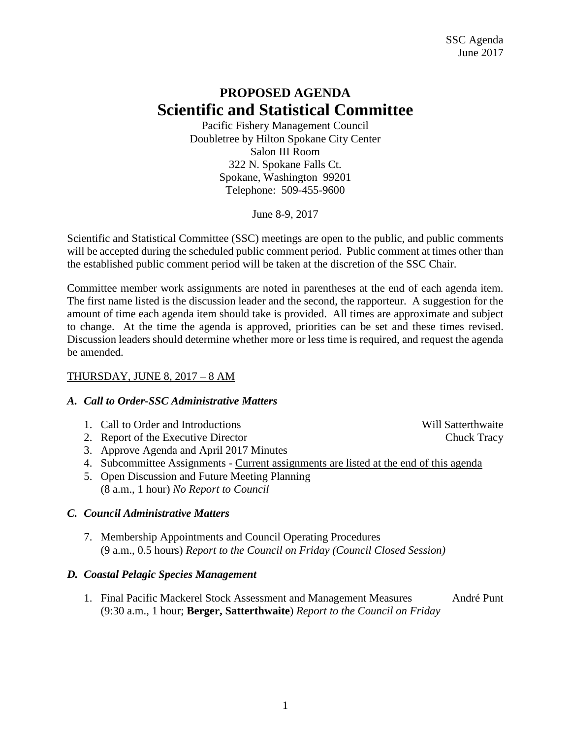# **PROPOSED AGENDA Scientific and Statistical Committee**

Pacific Fishery Management Council Doubletree by Hilton Spokane City Center Salon III Room 322 N. Spokane Falls Ct. Spokane, Washington 99201 Telephone: 509-455-9600

June 8-9, 2017

Scientific and Statistical Committee (SSC) meetings are open to the public, and public comments will be accepted during the scheduled public comment period. Public comment at times other than the established public comment period will be taken at the discretion of the SSC Chair.

Committee member work assignments are noted in parentheses at the end of each agenda item. The first name listed is the discussion leader and the second, the rapporteur. A suggestion for the amount of time each agenda item should take is provided. All times are approximate and subject to change. At the time the agenda is approved, priorities can be set and these times revised. Discussion leaders should determine whether more or less time is required, and request the agenda be amended.

# THURSDAY, JUNE 8, 2017 – 8 AM

## *A. Call to Order-SSC Administrative Matters*

- 1. Call to Order and Introductions and Will Satterthwaite
- 2. Report of the Executive Director Chuck Tracy
- 3. Approve Agenda and April 2017 Minutes
- 4. Subcommittee Assignments Current assignments are listed at the end of this agenda
- 5. Open Discussion and Future Meeting Planning (8 a.m., 1 hour) *No Report to Council*

# *C. Council Administrative Matters*

7. Membership Appointments and Council Operating Procedures (9 a.m., 0.5 hours) *Report to the Council on Friday (Council Closed Session)*

## *D. Coastal Pelagic Species Management*

1. Final Pacific Mackerel Stock Assessment and Management Measures André Punt (9:30 a.m., 1 hour; **Berger, Satterthwaite**) *Report to the Council on Friday*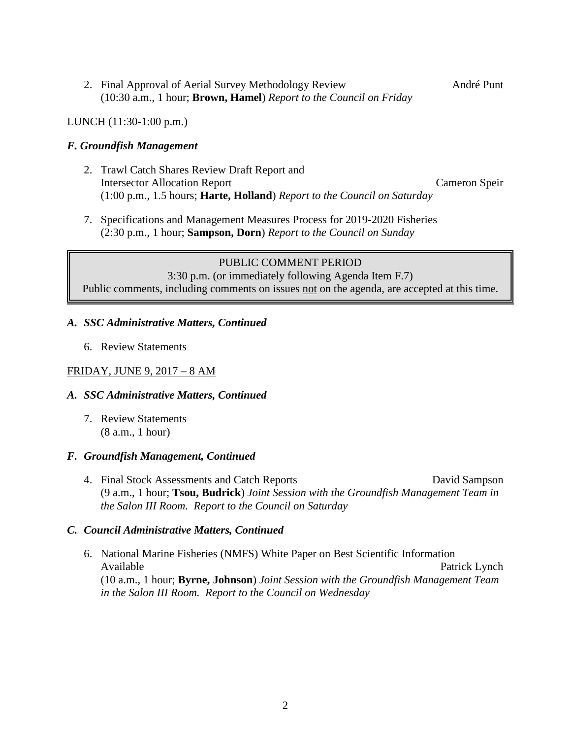2. Final Approval of Aerial Survey Methodology Review André Punt (10:30 a.m., 1 hour; **Brown, Hamel**) *Report to the Council on Friday*

#### LUNCH (11:30-1:00 p.m.)

#### *F. Groundfish Management*

- 2. Trawl Catch Shares Review Draft Report and Intersector Allocation Report Cameron Speir (1:00 p.m., 1.5 hours; **Harte, Holland**) *Report to the Council on Saturday*
- 7. Specifications and Management Measures Process for 2019-2020 Fisheries (2:30 p.m., 1 hour; **Sampson, Dorn**) *Report to the Council on Sunday*

PUBLIC COMMENT PERIOD 3:30 p.m. (or immediately following Agenda Item F.7) Public comments, including comments on issues not on the agenda, are accepted at this time.

#### *A. SSC Administrative Matters, Continued*

6. Review Statements

## FRIDAY, JUNE 9, 2017 – 8 AM

#### *A. SSC Administrative Matters, Continued*

7. Review Statements (8 a.m., 1 hour)

#### *F. Groundfish Management, Continued*

4. Final Stock Assessments and Catch Reports David Sampson (9 a.m., 1 hour; **Tsou, Budrick**) *Joint Session with the Groundfish Management Team in the Salon III Room. Report to the Council on Saturday*

#### *C. Council Administrative Matters, Continued*

6. National Marine Fisheries (NMFS) White Paper on Best Scientific Information Available **Patrick Lynch** Patrick Lynch (10 a.m., 1 hour; **Byrne, Johnson**) *Joint Session with the Groundfish Management Team in the Salon III Room. Report to the Council on Wednesday*